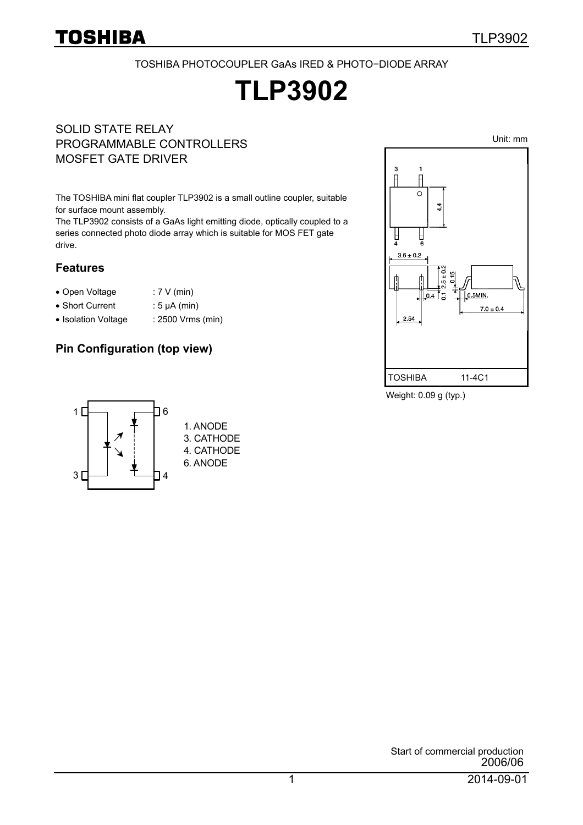Unit: mm

TOSHIBA PHOTOCOUPLER GaAs IRED & PHOTO−DIODE ARRAY

# **TLP3902**

#### SOLID STATE RELAY PROGRAMMABLE CONTROLLERS MOSFET GATE DRIVER

The TOSHIBA mini flat coupler TLP3902 is a small outline coupler, suitable for surface mount assembly.

The TLP3902 consists of a GaAs light emitting diode, optically coupled to a series connected photo diode array which is suitable for MOS FET gate drive.

#### **Features**

- Open Voltage : 7 V (min)
- Short Current : 5 μA (min)
- Isolation Voltage : 2500 Vrms (min)

### **Pin Configuration (top view)**



Weight: 0.09 g (typ.)

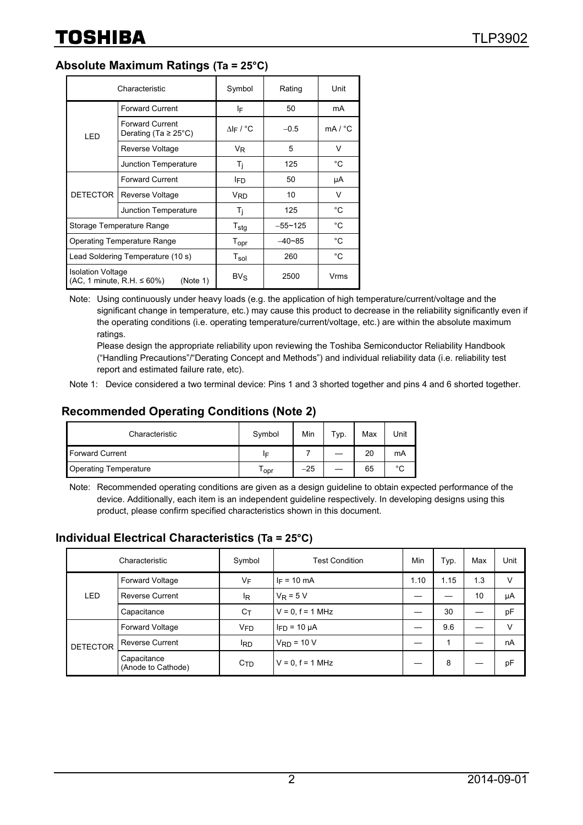### **Absolute Maximum Ratings (Ta = 25°C)**

| Characteristic                                                             |                                                     | Symbol                | Rating      | Unit         |
|----------------------------------------------------------------------------|-----------------------------------------------------|-----------------------|-------------|--------------|
| LED                                                                        | <b>Forward Current</b>                              | ΙF                    | 50          | mA           |
|                                                                            | <b>Forward Current</b><br>Derating (Ta $\geq$ 25°C) | $\Delta$  F / °C      | $-0.5$      | mA / °C      |
|                                                                            | Reverse Voltage                                     | V <sub>R</sub>        | 5           | V            |
|                                                                            | Junction Temperature                                | T <sub>i</sub>        | 125         | °C           |
| <b>DETECTOR</b>                                                            | <b>Forward Current</b>                              | l <sub>ED</sub>       | 50          | μA           |
|                                                                            | <b>Reverse Voltage</b>                              | <b>V<sub>RD</sub></b> | 10          | V            |
|                                                                            | Junction Temperature                                | T <sub>i</sub>        | 125         | °C           |
| Storage Temperature Range                                                  |                                                     | $T_{\text{stg}}$      | $-55 - 125$ | °C           |
| <b>Operating Temperature Range</b>                                         |                                                     | Topr                  | $-40-85$    | °C           |
| Lead Soldering Temperature (10 s)                                          |                                                     | $T_{sol}$             | 260         | $^{\circ}$ C |
| <b>Isolation Voltage</b><br>$(AC, 1$ minute, R.H. $\leq 60\%)$<br>(Note 1) |                                                     | $BV_S$                | 2500        | Vrms         |

Note: Using continuously under heavy loads (e.g. the application of high temperature/current/voltage and the significant change in temperature, etc.) may cause this product to decrease in the reliability significantly even if the operating conditions (i.e. operating temperature/current/voltage, etc.) are within the absolute maximum ratings.

Please design the appropriate reliability upon reviewing the Toshiba Semiconductor Reliability Handbook ("Handling Precautions"/"Derating Concept and Methods") and individual reliability data (i.e. reliability test report and estimated failure rate, etc).

### **Recommended Operating Conditions (Note 2)**

| Characteristic               | Symbol | Min   | Typ. | Max | Unit   |
|------------------------------|--------|-------|------|-----|--------|
| <b>Forward Current</b>       | ΙF     |       |      | 20  | mA     |
| <b>Operating Temperature</b> | opr    | $-25$ |      | 65  | $\sim$ |

Note: Recommended operating conditions are given as a design guideline to obtain expected performance of the device. Additionally, each item is an independent guideline respectively. In developing designs using this product, please confirm specified characteristics shown in this document.

#### **Individual Electrical Characteristics (Ta = 25°C)**

| Characteristic  |                                   | Symbol          | <b>Test Condition</b> | Min  | Typ. | Max | Unit   |
|-----------------|-----------------------------------|-----------------|-----------------------|------|------|-----|--------|
| LED             | <b>Forward Voltage</b>            | VF              | $I_F = 10 \text{ mA}$ | 1.10 | 1.15 | 1.3 | v      |
|                 | <b>Reverse Current</b>            | ΙŖ              | $V_R = 5 V$           |      |      | 10  | μA     |
|                 | Capacitance                       | Cт              | $V = 0, f = 1 MHz$    |      | 30   |     | pF     |
| <b>DETECTOR</b> | Forward Voltage                   | V <sub>FD</sub> | $I_{FD}$ = 10 $\mu$ A |      | 9.6  |     | $\vee$ |
|                 | <b>Reverse Current</b>            | <sup>I</sup> RD | $VRD = 10 V$          |      |      |     | nA     |
|                 | Capacitance<br>(Anode to Cathode) | C <sub>TD</sub> | $V = 0, f = 1 MHz$    |      | 8    |     | pF     |

Note 1: Device considered a two terminal device: Pins 1 and 3 shorted together and pins 4 and 6 shorted together.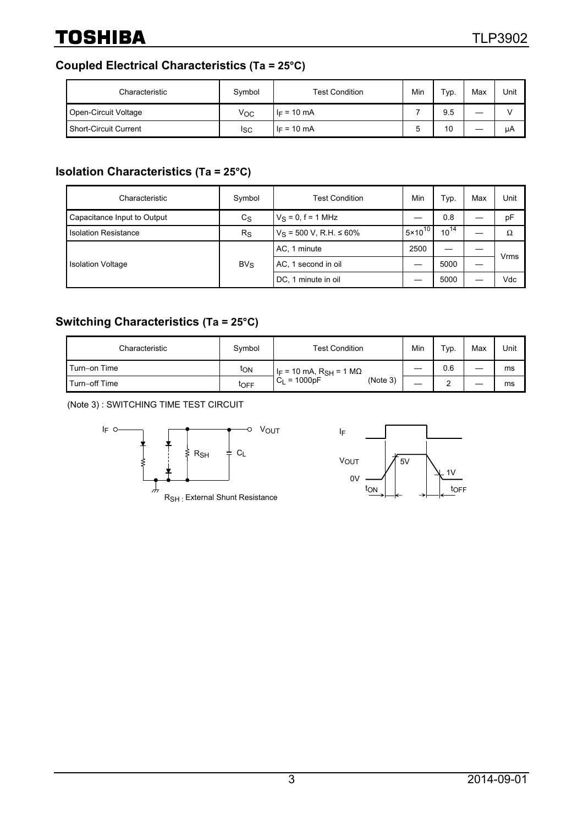# **TOSHIBA**

# **Coupled Electrical Characteristics (Ta = 25°C)**

| Characteristic        | Symbol | <b>Test Condition</b> | Min | Typ. | Max | Unit |
|-----------------------|--------|-----------------------|-----|------|-----|------|
| Open-Circuit Voltage  | Voc    | $I_F = 10 \text{ mA}$ |     | 9.5  | __  |      |
| Short-Circuit Current | Isc    | $I_F = 10 \text{ mA}$ |     | 10   |     | uА   |

# **Isolation Characteristics (Ta = 25°C)**

| Characteristic              | Symbol      | <b>Test Condition</b>          | Min                | Typ.      | Max | Unit        |
|-----------------------------|-------------|--------------------------------|--------------------|-----------|-----|-------------|
| Capacitance Input to Output | $c_{\rm S}$ | $V_S = 0, f = 1$ MHz           |                    | 0.8       |     | pF          |
| <b>Isolation Resistance</b> | $R_{\rm S}$ | $V_S$ = 500 V, R.H. $\leq$ 60% | $5 \times 10^{10}$ | $10^{14}$ |     | Ω           |
| <b>Isolation Voltage</b>    | $BV_S$      | AC, 1 minute                   | 2500               |           |     | <b>Vrms</b> |
|                             |             | AC, 1 second in oil            |                    | 5000      |     |             |
|                             |             | DC, 1 minute in oil            |                    | 5000      |     | Vdc         |

# **Switching Characteristics (Ta = 25°C)**

| Characteristic | Symbol | <b>Test Condition</b>                          | Min | Typ. | Max | Unit |
|----------------|--------|------------------------------------------------|-----|------|-----|------|
| Turn-on Time   | ton    | I <sub>F</sub> = 10 mA, R <sub>SH</sub> = 1 MΩ |     | 0.6  |     | ms   |
| Turn-off Time  | toFF   | $C_L = 1000pF$<br>(Note 3)                     |     | ⌒    |     | ms   |

(Note 3) : SWITCHING TIME TEST CIRCUIT



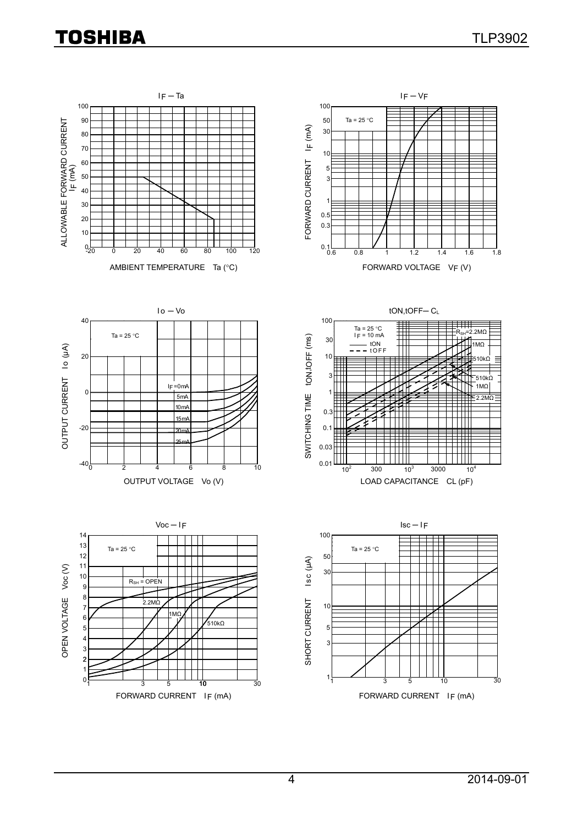# **TOSHIBA**

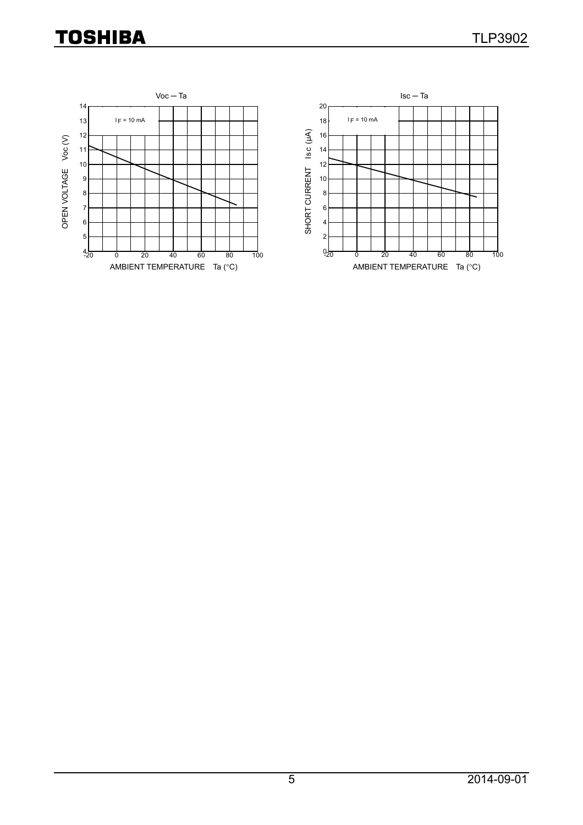# **TOSHIBA**

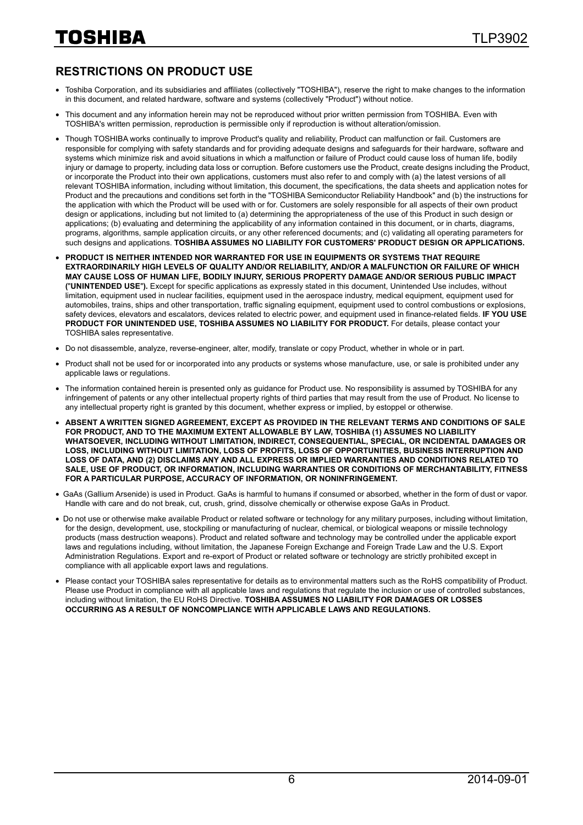### **RESTRICTIONS ON PRODUCT USE**

- Toshiba Corporation, and its subsidiaries and affiliates (collectively "TOSHIBA"), reserve the right to make changes to the information in this document, and related hardware, software and systems (collectively "Product") without notice.
- This document and any information herein may not be reproduced without prior written permission from TOSHIBA. Even with TOSHIBA's written permission, reproduction is permissible only if reproduction is without alteration/omission.
- Though TOSHIBA works continually to improve Product's quality and reliability, Product can malfunction or fail. Customers are responsible for complying with safety standards and for providing adequate designs and safeguards for their hardware, software and systems which minimize risk and avoid situations in which a malfunction or failure of Product could cause loss of human life, bodily injury or damage to property, including data loss or corruption. Before customers use the Product, create designs including the Product, or incorporate the Product into their own applications, customers must also refer to and comply with (a) the latest versions of all relevant TOSHIBA information, including without limitation, this document, the specifications, the data sheets and application notes for Product and the precautions and conditions set forth in the "TOSHIBA Semiconductor Reliability Handbook" and (b) the instructions for the application with which the Product will be used with or for. Customers are solely responsible for all aspects of their own product design or applications, including but not limited to (a) determining the appropriateness of the use of this Product in such design or applications; (b) evaluating and determining the applicability of any information contained in this document, or in charts, diagrams, programs, algorithms, sample application circuits, or any other referenced documents; and (c) validating all operating parameters for such designs and applications. **TOSHIBA ASSUMES NO LIABILITY FOR CUSTOMERS' PRODUCT DESIGN OR APPLICATIONS.**
- **PRODUCT IS NEITHER INTENDED NOR WARRANTED FOR USE IN EQUIPMENTS OR SYSTEMS THAT REQUIRE EXTRAORDINARILY HIGH LEVELS OF QUALITY AND/OR RELIABILITY, AND/OR A MALFUNCTION OR FAILURE OF WHICH MAY CAUSE LOSS OF HUMAN LIFE, BODILY INJURY, SERIOUS PROPERTY DAMAGE AND/OR SERIOUS PUBLIC IMPACT (**"**UNINTENDED USE**"**).** Except for specific applications as expressly stated in this document, Unintended Use includes, without limitation, equipment used in nuclear facilities, equipment used in the aerospace industry, medical equipment, equipment used for automobiles, trains, ships and other transportation, traffic signaling equipment, equipment used to control combustions or explosions, safety devices, elevators and escalators, devices related to electric power, and equipment used in finance-related fields. **IF YOU USE PRODUCT FOR UNINTENDED USE, TOSHIBA ASSUMES NO LIABILITY FOR PRODUCT.** For details, please contact your TOSHIBA sales representative.
- Do not disassemble, analyze, reverse-engineer, alter, modify, translate or copy Product, whether in whole or in part.
- Product shall not be used for or incorporated into any products or systems whose manufacture, use, or sale is prohibited under any applicable laws or regulations.
- The information contained herein is presented only as quidance for Product use. No responsibility is assumed by TOSHIBA for any infringement of patents or any other intellectual property rights of third parties that may result from the use of Product. No license to any intellectual property right is granted by this document, whether express or implied, by estoppel or otherwise.
- **ABSENT A WRITTEN SIGNED AGREEMENT, EXCEPT AS PROVIDED IN THE RELEVANT TERMS AND CONDITIONS OF SALE FOR PRODUCT, AND TO THE MAXIMUM EXTENT ALLOWABLE BY LAW, TOSHIBA (1) ASSUMES NO LIABILITY WHATSOEVER, INCLUDING WITHOUT LIMITATION, INDIRECT, CONSEQUENTIAL, SPECIAL, OR INCIDENTAL DAMAGES OR LOSS, INCLUDING WITHOUT LIMITATION, LOSS OF PROFITS, LOSS OF OPPORTUNITIES, BUSINESS INTERRUPTION AND LOSS OF DATA, AND (2) DISCLAIMS ANY AND ALL EXPRESS OR IMPLIED WARRANTIES AND CONDITIONS RELATED TO SALE, USE OF PRODUCT, OR INFORMATION, INCLUDING WARRANTIES OR CONDITIONS OF MERCHANTABILITY, FITNESS FOR A PARTICULAR PURPOSE, ACCURACY OF INFORMATION, OR NONINFRINGEMENT.**
- GaAs (Gallium Arsenide) is used in Product. GaAs is harmful to humans if consumed or absorbed, whether in the form of dust or vapor. Handle with care and do not break, cut, crush, grind, dissolve chemically or otherwise expose GaAs in Product.
- Do not use or otherwise make available Product or related software or technology for any military purposes, including without limitation, for the design, development, use, stockpiling or manufacturing of nuclear, chemical, or biological weapons or missile technology products (mass destruction weapons). Product and related software and technology may be controlled under the applicable export laws and regulations including, without limitation, the Japanese Foreign Exchange and Foreign Trade Law and the U.S. Export Administration Regulations. Export and re-export of Product or related software or technology are strictly prohibited except in compliance with all applicable export laws and regulations.
- Please contact your TOSHIBA sales representative for details as to environmental matters such as the RoHS compatibility of Product. Please use Product in compliance with all applicable laws and regulations that regulate the inclusion or use of controlled substances, including without limitation, the EU RoHS Directive. **TOSHIBA ASSUMES NO LIABILITY FOR DAMAGES OR LOSSES OCCURRING AS A RESULT OF NONCOMPLIANCE WITH APPLICABLE LAWS AND REGULATIONS.**